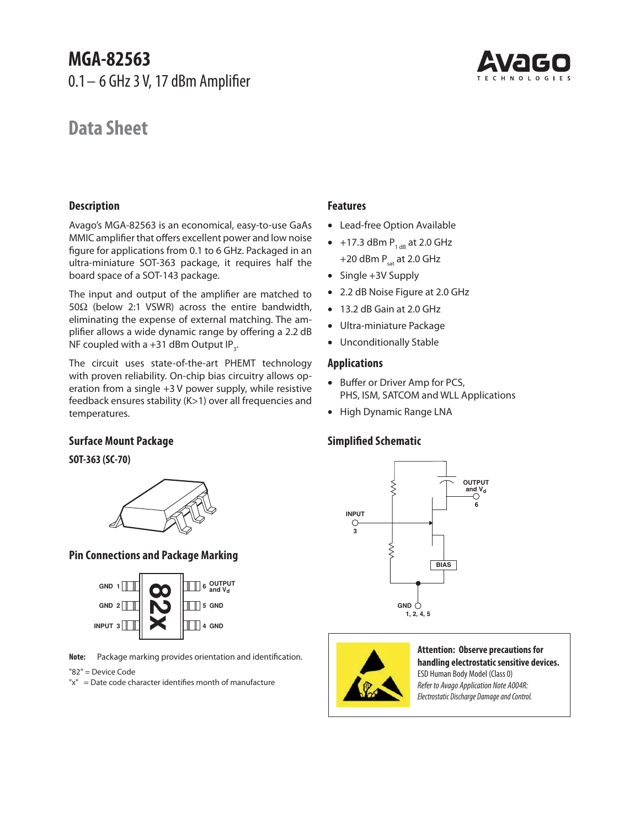# **MGA-82563**

0.1 – 6 GHz 3 V, 17 dBm Amplifier

# **Data Sheet**



# **Description**

Avago's MGA-82563 is an economical, easy-to-use GaAs MMIC amplifier that offers excellent power and low noise figure for applications from 0.1 to 6 GHz. Packaged in an ultra-miniature SOT-363 package, it requires half the board space of a SOT-143 package.

The input and output of the amplifier are matched to 50 $\Omega$  (below 2:1 VSWR) across the entire bandwidth, eliminating the expense of external matching. The amplifier allows a wide dynamic range by offering a 2.2 dB NF coupled with a +31 dBm Output IP<sub>3</sub>.

The circuit uses state-of-the-art PHEMT technology with proven reliability. On-chip bias circuitry allows operation from a single +3 V power supply, while resistive feedback ensures stability (K>1) over all frequencies and temperatures.

# **Features**

- Lead-free Option Available
- $\bullet$  +17.3 dBm  $\mathsf{P}_{_{1\,\text{dB}}}$  at 2.0 GHz  $+20$  dBm  $P_{sat}$  at 2.0 GHz
- Single +3V Supply
- 2.2 dB Noise Figure at 2.0 GHz
- 13.2 dB Gain at 2.0 GHz
- Ultra-miniature Package
- Unconditionally Stable

## **Applications**

- Buffer or Driver Amp for PCS, PHS, ISM, SATCOM and WLL Applications
- High Dynamic Range LNA

# **Simplified Schematic**





#### **Attention: Observe precautions for handling electrostatic sensitive devices.** ESD Human Body Model (Class 0) Refer to Avago Application Note A004R: Electrostatic Discharge Damage and Control.

**6**

# **Surface Mount Package**

**SOT-363 (SC-70)**



# **Pin Connections and Package Marking**



**Note:** Package marking provides orientation and identification.

"82" = Device Code

"x" = Date code character identifies month of manufacture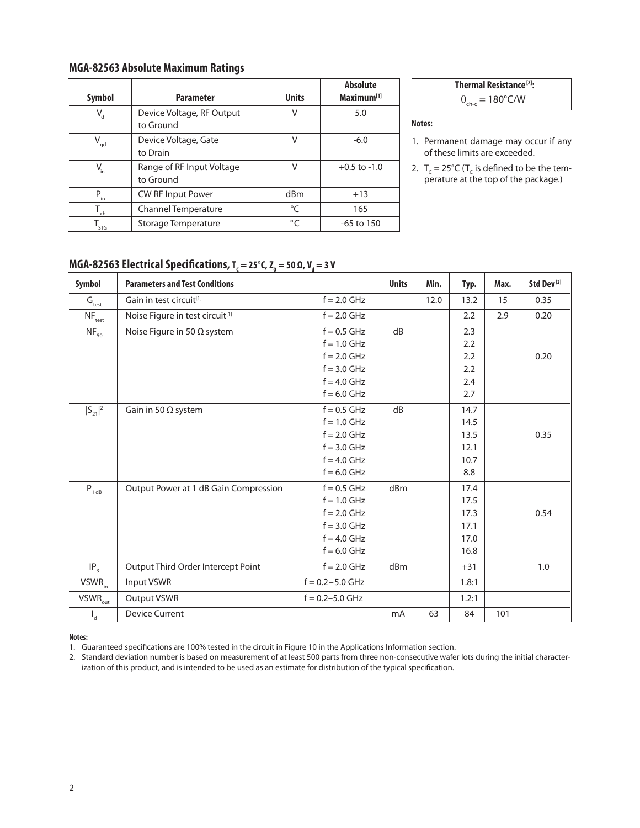# **MGA-82563 Absolute Maximum Ratings**

| Symbol                      | <b>Parameter</b>                       | <b>Units</b> | <b>Absolute</b><br>Maximum <sup>[1]</sup> |
|-----------------------------|----------------------------------------|--------------|-------------------------------------------|
| $V_{d}$                     | Device Voltage, RF Output<br>to Ground | V            | 5.0                                       |
| $V_{gd}$                    | Device Voltage, Gate<br>to Drain       | V            | $-6.0$                                    |
| $V_{in}$                    | Range of RF Input Voltage<br>to Ground | V            | $+0.5$ to $-1.0$                          |
| P<br>in                     | <b>CW RF Input Power</b>               | dBm          | $+13$                                     |
| $T_{ch}$                    | <b>Channel Temperature</b>             | °C           | 165                                       |
| $\mathsf{I}_{\mathsf{STG}}$ | Storage Temperature                    | $^{\circ}C$  | $-65$ to 150                              |

**Thermal Resistance**<sup>[2]</sup>:  
\n
$$
0.190\%
$$

 $\theta_{\text{ch-c}} = 180^{\circ}$ C/W

#### **Notes:**

1. Permanent damage may occur if any of these limits are exceeded.

2.  $T_c = 25^{\circ}C$  (T<sub>c</sub> is defined to be the temperature at the top of the package.)

# $MGA-82563 \text{ Electrical Specifications, } T_c = 25^{\circ}C, Z_o = 50 \Omega, V_d = 3 V$

| Symbol                                  | <b>Parameters and Test Conditions</b>       |                     | <b>Units</b> | Min. | Typ.  | Max. | Std Dev <sup>[2]</sup> |
|-----------------------------------------|---------------------------------------------|---------------------|--------------|------|-------|------|------------------------|
| $\mathbf{G}_{\text{test}}$              | Gain in test circuit[1]                     | $f = 2.0$ GHz       |              | 12.0 | 13.2  | 15   | 0.35                   |
| $NF_{test}$                             | Noise Figure in test circuit <sup>[1]</sup> | $f = 2.0$ GHz       |              |      | 2.2   | 2.9  | 0.20                   |
| $NF_{50}$                               | Noise Figure in 50 $\Omega$ system          | $f = 0.5$ GHz       | dB           |      | 2.3   |      |                        |
|                                         |                                             | $f = 1.0$ GHz       |              |      | 2.2   |      |                        |
|                                         |                                             | $f = 2.0$ GHz       |              |      | 2.2   |      | 0.20                   |
|                                         |                                             | $f = 3.0$ GHz       |              |      | 2.2   |      |                        |
|                                         |                                             | $f = 4.0$ GHz       |              |      | 2.4   |      |                        |
|                                         |                                             | $f = 6.0$ GHz       |              |      | 2.7   |      |                        |
| $ S_{21} ^2$                            | Gain in 50 $\Omega$ system                  | $f = 0.5$ GHz       | dB           |      | 14.7  |      |                        |
|                                         |                                             | $f = 1.0$ GHz       |              |      | 14.5  |      |                        |
|                                         |                                             | $f = 2.0$ GHz       |              |      | 13.5  |      | 0.35                   |
|                                         |                                             | $f = 3.0$ GHz       |              |      | 12.1  |      |                        |
|                                         |                                             | $f = 4.0$ GHz       |              |      | 10.7  |      |                        |
|                                         |                                             | $f = 6.0$ GHz       |              |      | 8.8   |      |                        |
| $P_{1 dB}$                              | Output Power at 1 dB Gain Compression       | $f = 0.5$ GHz       | dBm          |      | 17.4  |      |                        |
|                                         |                                             | $f = 1.0$ GHz       |              |      | 17.5  |      |                        |
|                                         |                                             | $f = 2.0$ GHz       |              |      | 17.3  |      | 0.54                   |
|                                         |                                             | $f = 3.0$ GHz       |              |      | 17.1  |      |                        |
|                                         |                                             | $f = 4.0$ GHz       |              |      | 17.0  |      |                        |
|                                         |                                             | $f = 6.0$ GHz       |              |      | 16.8  |      |                        |
| $IP_3$                                  | Output Third Order Intercept Point          | $f = 2.0$ GHz       | dBm          |      | $+31$ |      | 1.0                    |
| VSWR <sub>in</sub>                      | Input VSWR                                  | $f = 0.2 - 5.0$ GHz |              |      | 1.8:1 |      |                        |
| $\overline{\mathsf{VSWR}}_\mathsf{out}$ | Output VSWR                                 | $f = 0.2 - 5.0$ GHz |              |      | 1.2:1 |      |                        |
| $\mathsf{I}_{\mathsf{d}}$               | <b>Device Current</b>                       |                     | mA           | 63   | 84    | 101  |                        |

#### **Notes:**

1. Guaranteed specifications are 100% tested in the circuit in Figure 10 in the Applications Information section.

2. Standard deviation number is based on measurement of at least 500 parts from three non-consecutive wafer lots during the initial characterization of this product, and is intended to be used as an estimate for distribution of the typical specification.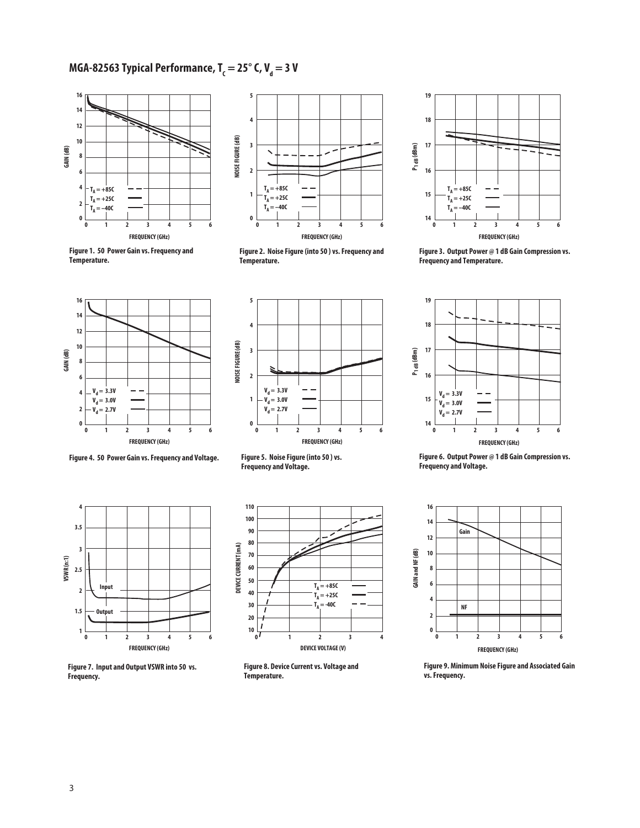# MGA-82563 Typical Performance, T<sub>c</sub> = 25° C, V<sub>d</sub> = 3 V





**Figure 1. 50 Power Gain vs. Frequency and Temperature.**







**Figure 3. Output Power @ 1 dB Gain Compression vs. Frequency and Temperature.**



**Figure 4. 50 Power Gain vs. Frequency and Voltage.**



**Figure 7. Input and Output VSWR into 50 vs. Frequency.**



**Figure 5. Noise Figure (into 50 ) vs. Frequency and Voltage.**



**Figure 8. Device Current vs. Voltage and Temperature.**



**Figure 6. Output Power @ 1 dB Gain Compression vs. Frequency and Voltage.**



**Figure 9. Minimum Noise Figure and Associated Gain vs. Frequency.**

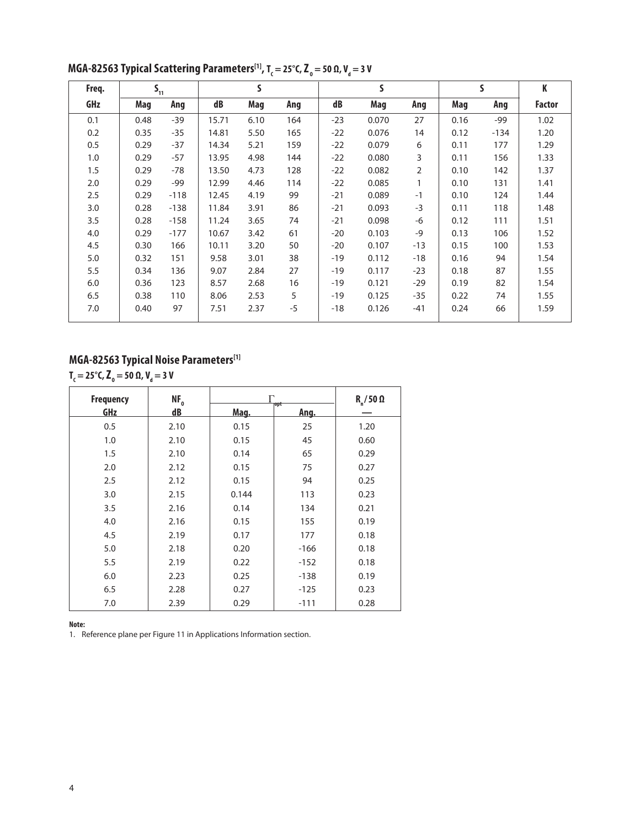| Freq. | $S_{11}$ |        |       | S    |      | S     |       | S     |      | K      |               |
|-------|----------|--------|-------|------|------|-------|-------|-------|------|--------|---------------|
| GHz   | Mag      | Ang    | dB    | Mag  | Ang  | dB    | Mag   | Ang   | Mag  | Ang    | <b>Factor</b> |
| 0.1   | 0.48     | $-39$  | 15.71 | 6.10 | 164  | $-23$ | 0.070 | 27    | 0.16 | $-99$  | 1.02          |
| 0.2   | 0.35     | $-35$  | 14.81 | 5.50 | 165  | $-22$ | 0.076 | 14    | 0.12 | $-134$ | 1.20          |
| 0.5   | 0.29     | $-37$  | 14.34 | 5.21 | 159  | $-22$ | 0.079 | 6     | 0.11 | 177    | 1.29          |
| 1.0   | 0.29     | $-57$  | 13.95 | 4.98 | 144  | $-22$ | 0.080 | 3     | 0.11 | 156    | 1.33          |
| 1.5   | 0.29     | $-78$  | 13.50 | 4.73 | 128  | $-22$ | 0.082 | 2     | 0.10 | 142    | 1.37          |
| 2.0   | 0.29     | $-99$  | 12.99 | 4.46 | 114  | $-22$ | 0.085 | 1     | 0.10 | 131    | 1.41          |
| 2.5   | 0.29     | $-118$ | 12.45 | 4.19 | 99   | $-21$ | 0.089 | $-1$  | 0.10 | 124    | 1.44          |
| 3.0   | 0.28     | $-138$ | 11.84 | 3.91 | 86   | $-21$ | 0.093 | $-3$  | 0.11 | 118    | 1.48          |
| 3.5   | 0.28     | $-158$ | 11.24 | 3.65 | 74   | $-21$ | 0.098 | $-6$  | 0.12 | 111    | 1.51          |
| 4.0   | 0.29     | $-177$ | 10.67 | 3.42 | 61   | $-20$ | 0.103 | $-9$  | 0.13 | 106    | 1.52          |
| 4.5   | 0.30     | 166    | 10.11 | 3.20 | 50   | $-20$ | 0.107 | $-13$ | 0.15 | 100    | 1.53          |
| 5.0   | 0.32     | 151    | 9.58  | 3.01 | 38   | $-19$ | 0.112 | $-18$ | 0.16 | 94     | 1.54          |
| 5.5   | 0.34     | 136    | 9.07  | 2.84 | 27   | $-19$ | 0.117 | $-23$ | 0.18 | 87     | 1.55          |
| 6.0   | 0.36     | 123    | 8.57  | 2.68 | 16   | $-19$ | 0.121 | $-29$ | 0.19 | 82     | 1.54          |
| 6.5   | 0.38     | 110    | 8.06  | 2.53 | 5    | $-19$ | 0.125 | $-35$ | 0.22 | 74     | 1.55          |
| 7.0   | 0.40     | 97     | 7.51  | 2.37 | $-5$ | $-18$ | 0.126 | $-41$ | 0.24 | 66     | 1.59          |

**MGA-82563 Typical Scattering Parameters<sup>[1]</sup>, T<sub>c</sub> = 25°C, Z<sub>o</sub> = 50 Ω, V<sub>a</sub> = 3 V** 

## **MGA-82563 Typical Noise Parameters[1]**

 $T_c = 25^\circ$ C,  $Z_o = 50$  Ω, V<sub>d</sub> = 3 V

| <b>Frequency</b> | $NF_{o}$ | Г     | $R_n/50 \Omega$           |      |
|------------------|----------|-------|---------------------------|------|
| <u>GHz</u>       | $d$ B    | Mag.  | <b>opt</b><br><u>Ang.</u> |      |
| 0.5              | 2.10     | 0.15  | 25                        | 1.20 |
| 1.0              | 2.10     | 0.15  | 45                        | 0.60 |
| 1.5              | 2.10     | 0.14  | 65                        | 0.29 |
| 2.0              | 2.12     | 0.15  | 75                        | 0.27 |
| 2.5              | 2.12     | 0.15  | 94                        | 0.25 |
| 3.0              | 2.15     | 0.144 | 113                       | 0.23 |
| 3.5              | 2.16     | 0.14  | 134                       | 0.21 |
| 4.0              | 2.16     | 0.15  | 155                       | 0.19 |
| 4.5              | 2.19     | 0.17  | 177                       | 0.18 |
| 5.0              | 2.18     | 0.20  | $-166$                    | 0.18 |
| 5.5              | 2.19     | 0.22  | $-152$                    | 0.18 |
| 6.0              | 2.23     | 0.25  | $-138$                    | 0.19 |
| 6.5              | 2.28     | 0.27  | $-125$                    | 0.23 |
| 7.0              | 2.39     | 0.29  | $-111$                    | 0.28 |

**Note:**

1. Reference plane per Figure 11 in Applications Information section.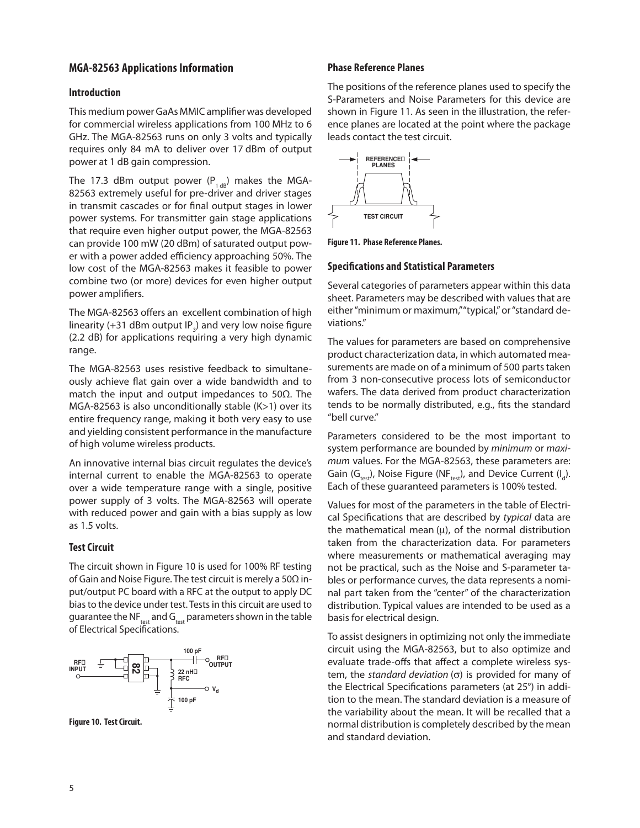### **MGA-82563 Applications Information**

#### **Introduction**

This medium power GaAs MMIC amplifier was developed for commercial wireless applications from 100 MHz to 6 GHz. The MGA-82563 runs on only 3 volts and typically requires only 84 mA to deliver over 17 dBm of output power at 1 dB gain compression.

The 17.3 dBm output power ( $P_{1 dB}$ ) makes the MGA-82563 extremely useful for pre-driver and driver stages in transmit cascades or for final output stages in lower power systems. For transmitter gain stage applications that require even higher output power, the MGA-82563 can provide 100 mW (20 dBm) of saturated output power with a power added efficiency approaching 50%. The low cost of the MGA-82563 makes it feasible to power combine two (or more) devices for even higher output power amplifiers.

The MGA-82563 offers an excellent combination of high linearity (+31 dBm output IP<sub>3</sub>) and very low noise figure (2.2 dB) for applications requiring a very high dynamic range.

The MGA-82563 uses resistive feedback to simultaneously achieve flat gain over a wide bandwidth and to match the input and output impedances to 50Ω. The MGA-82563 is also unconditionally stable (K>1) over its entire frequency range, making it both very easy to use and yielding consistent performance in the manufacture of high volume wireless products.

An innovative internal bias circuit regulates the device's internal current to enable the MGA-82563 to operate over a wide temperature range with a single, positive power supply of 3 volts. The MGA-82563 will operate with reduced power and gain with a bias supply as low as 1.5 volts.

#### **Test Circuit**

The circuit shown in Figure 10 is used for 100% RF testing of Gain and Noise Figure. The test circuit is merely a 50Ω input/output PC board with a RFC at the output to apply DC bias to the device under test. Tests in this circuit are used to guarantee the NF $_{test}$  and G $_{test}$  parameters shown in the table of Electrical Specifications.



**Figure 10. Test Circuit.**

#### **Phase Reference Planes**

The positions of the reference planes used to specify the S-Parameters and Noise Parameters for this device are shown in Figure 11. As seen in the illustration, the reference planes are located at the point where the package leads contact the test circuit.



**Figure 11. Phase Reference Planes.**

#### **Specifications and Statistical Parameters**

Several categories of parameters appear within this data sheet. Parameters may be described with values that are either "minimum or maximum," "typical," or "standard deviations."

The values for parameters are based on comprehensive product characterization data, in which automated measurements are made on of a minimum of 500 parts taken from 3 non-consecutive process lots of semiconductor wafers. The data derived from product characterization tends to be normally distributed, e.g., fits the standard "bell curve."

Parameters considered to be the most important to system performance are bounded by minimum or maximum values. For the MGA-82563, these parameters are: Gain (G<sub>test</sub>), Noise Figure (NF<sub>test</sub>), and Device Current (I<sub>d</sub>). Each of these guaranteed parameters is 100% tested.

Values for most of the parameters in the table of Electrical Specifications that are described by typical data are the mathematical mean  $(\mu)$ , of the normal distribution taken from the characterization data. For parameters where measurements or mathematical averaging may not be practical, such as the Noise and S-parameter tables or performance curves, the data represents a nominal part taken from the "center" of the characterization distribution. Typical values are intended to be used as a basis for electrical design.

To assist designers in optimizing not only the immediate circuit using the MGA-82563, but to also optimize and evaluate trade-offs that affect a complete wireless system, the standard deviation  $(\sigma)$  is provided for many of the Electrical Specifications parameters (at 25°) in addition to the mean. The standard deviation is a measure of the variability about the mean. It will be recalled that a normal distribution is completely described by the mean and standard deviation.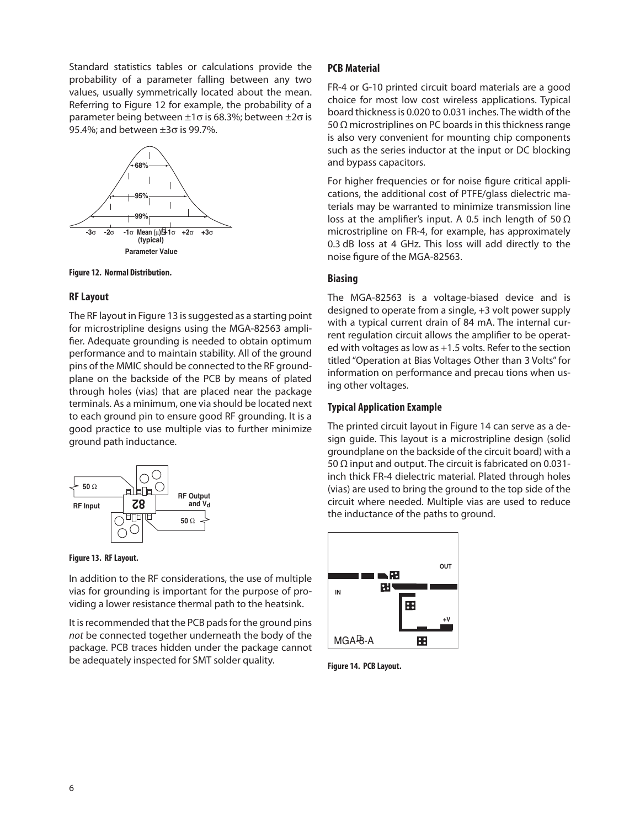Standard statistics tables or calculations provide the probability of a parameter falling between any two values, usually symmetrically located about the mean. Referring to Figure 12 for example, the probability of a parameter being between  $\pm 1\sigma$  is 68.3%; between  $\pm 2\sigma$  is 95.4%; and between  $\pm 3\sigma$  is 99.7%.





#### **RF Layout**

The RF layout in Figure 13 is suggested as a starting point for microstripline designs using the MGA-82563 amplifier. Adequate grounding is needed to obtain optimum performance and to maintain stability. All of the ground pins of the MMIC should be connected to the RF groundplane on the backside of the PCB by means of plated through holes (vias) that are placed near the package terminals. As a minimum, one via should be located next to each ground pin to ensure good RF grounding. It is a good practice to use multiple vias to further minimize ground path inductance.





In addition to the RF considerations, the use of multiple vias for grounding is important for the purpose of providing a lower resistance thermal path to the heatsink.

It is recommended that the PCB pads for the ground pins not be connected together underneath the body of the package. PCB traces hidden under the package cannot be adequately inspected for SMT solder quality. **Figure 14. PCB Layout.**

#### **PCB Material**

FR-4 or G-10 printed circuit board materials are a good choice for most low cost wireless applications. Typical board thickness is 0.020 to 0.031 inches. The width of the 50  $\Omega$  microstriplines on PC boards in this thickness range is also very convenient for mounting chip components such as the series inductor at the input or DC blocking and bypass capacitors.

For higher frequencies or for noise figure critical applications, the additional cost of PTFE/glass dielectric materials may be warranted to minimize transmission line loss at the amplifier's input. A 0.5 inch length of 50 Ω microstripline on FR-4, for example, has approximately 0.3 dB loss at 4 GHz. This loss will add directly to the noise figure of the MGA-82563.

#### **Biasing**

The MGA-82563 is a voltage-biased device and is designed to operate from a single, +3 volt power supply with a typical current drain of 84 mA. The internal current regulation circuit allows the amplifier to be operated with voltages as low as +1.5 volts. Refer to the section titled "Operation at Bias Voltages Other than 3 Volts" for information on performance and precau tions when using other voltages.

#### **Typical Application Example**

The printed circuit layout in Figure 14 can serve as a design guide. This layout is a microstripline design (solid groundplane on the backside of the circuit board) with a 50 Ω input and output. The circuit is fabricated on 0.031inch thick FR-4 dielectric material. Plated through holes (vias) are used to bring the ground to the top side of the circuit where needed. Multiple vias are used to reduce the inductance of the paths to ground.

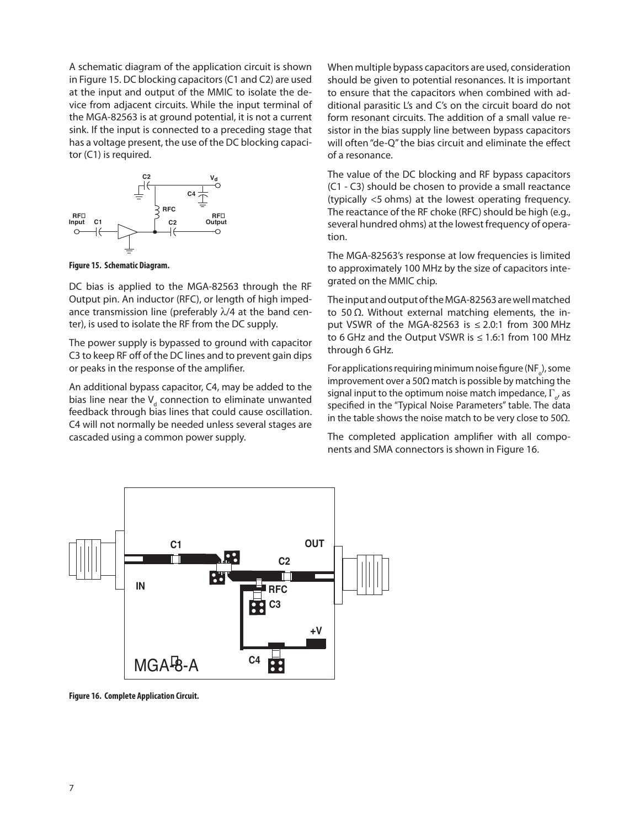A schematic diagram of the application circuit is shown in Figure 15. DC blocking capacitors (C1 and C2) are used at the input and output of the MMIC to isolate the device from adjacent circuits. While the input terminal of the MGA-82563 is at ground potential, it is not a current sink. If the input is connected to a preceding stage that has a voltage present, the use of the DC blocking capacitor (C1) is required.



**Figure 15. Schematic Diagram.** 

DC bias is applied to the MGA-82563 through the RF Output pin. An inductor (RFC), or length of high impedance transmission line (preferably  $\lambda/4$  at the band center), is used to isolate the RF from the DC supply.

The power supply is bypassed to ground with capacitor C3 to keep RF off of the DC lines and to prevent gain dips or peaks in the response of the amplifier.

An additional bypass capacitor, C4, may be added to the bias line near the  $V_d$  connection to eliminate unwanted feedback through bias lines that could cause oscillation. C4 will not normally be needed unless several stages are cascaded using a common power supply.

When multiple bypass capacitors are used, consideration should be given to potential resonances. It is important to ensure that the capacitors when combined with additional parasitic L's and C's on the circuit board do not form resonant circuits. The addition of a small value resistor in the bias supply line between bypass capacitors will often "de-Q" the bias circuit and eliminate the effect of a resonance.

The value of the DC blocking and RF bypass capacitors (C1 - C3) should be chosen to provide a small reactance (typically <5 ohms) at the lowest operating frequency. The reactance of the RF choke (RFC) should be high (e.g., several hundred ohms) at the lowest frequency of operation.

The MGA-82563's response at low frequencies is limited to approximately 100 MHz by the size of capacitors integrated on the MMIC chip.

The input and output of the MGA-82563 are well matched to 50 Ω. Without external matching elements, the input VSWR of the MGA-82563 is  $\leq$  2.0:1 from 300 MHz to 6 GHz and the Output VSWR is  $\leq 1.6$ :1 from 100 MHz through 6 GHz.

For applications requiring minimum noise figure (NF $_{\rm o}$ ), some improvement over a 50 $\Omega$  match is possible by matching the signal input to the optimum noise match impedance,  $\Gamma_{\!{\sigma}'}$  as specified in the "Typical Noise Parameters" table. The data in the table shows the noise match to be very close to 50 $\Omega$ .

The completed application amplifier with all components and SMA connectors is shown in Figure 16.



**Figure 16. Complete Application Circuit.**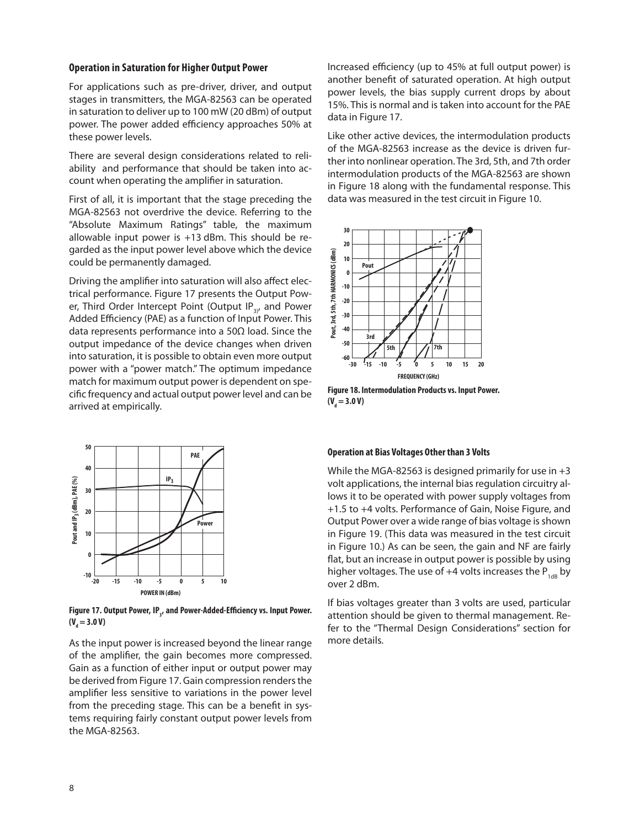#### **Operation in Saturation for Higher Output Power**

For applications such as pre-driver, driver, and output stages in transmitters, the MGA-82563 can be operated in saturation to deliver up to 100 mW (20 dBm) of output power. The power added efficiency approaches 50% at these power levels.

There are several design considerations related to reliability and performance that should be taken into account when operating the amplifier in saturation.

First of all, it is important that the stage preceding the MGA-82563 not overdrive the device. Referring to the "Absolute Maximum Ratings" table, the maximum allowable input power is +13 dBm. This should be regarded as the input power level above which the device could be permanently damaged.

Driving the amplifier into saturation will also affect electrical performance. Figure 17 presents the Output Power, Third Order Intercept Point (Output IP $_{3}$ , and Power Added Efficiency (PAE) as a function of Input Power. This data represents performance into a 50Ω load. Since the output impedance of the device changes when driven into saturation, it is possible to obtain even more output power with a "power match." The optimum impedance match for maximum output power is dependent on specific frequency and actual output power level and can be arrived at empirically.



Figure 17. Output Power, IP<sub>3</sub>, and Power-Added-Efficiency vs. Input Power. (V<sub>d</sub> = 3.0 V)

As the input power is increased beyond the linear range of the amplifier, the gain becomes more compressed. Gain as a function of either input or output power may be derived from Figure 17. Gain compression renders the amplifier less sensitive to variations in the power level from the preceding stage. This can be a benefit in systems requiring fairly constant output power levels from the MGA-82563.

Increased efficiency (up to 45% at full output power) is another benefit of saturated operation. At high output power levels, the bias supply current drops by about 15%. This is normal and is taken into account for the PAE data in Figure 17.

Like other active devices, the intermodulation products of the MGA-82563 increase as the device is driven further into nonlinear operation. The 3rd, 5th, and 7th order intermodulation products of the MGA-82563 are shown in Figure 18 along with the fundamental response. This data was measured in the test circuit in Figure 10.



**Figure 18. Intermodulation Products vs. Input Power.**   $(V_d = 3.0 V)$ 

#### **Operation at Bias Voltages Other than 3 Volts**

While the MGA-82563 is designed primarily for use in +3 volt applications, the internal bias regulation circuitry allows it to be operated with power supply voltages from +1.5 to +4 volts. Performance of Gain, Noise Figure, and Output Power over a wide range of bias voltage is shown in Figure 19. (This data was measured in the test circuit in Figure 10.) As can be seen, the gain and NF are fairly flat, but an increase in output power is possible by using higher voltages. The use of  $+4$  volts increases the P<sub>1dB</sub> by over 2 dBm.

If bias voltages greater than 3 volts are used, particular attention should be given to thermal management. Refer to the "Thermal Design Considerations" section for more details.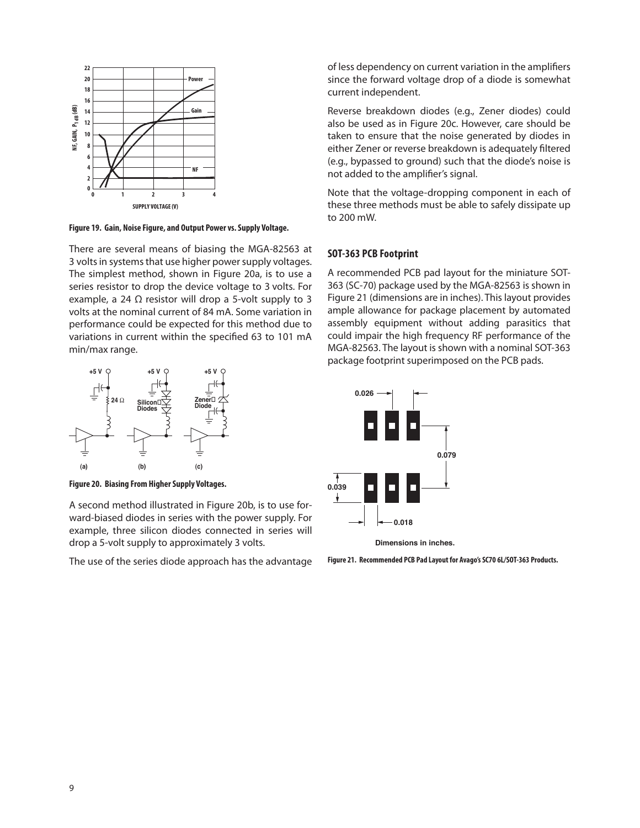

**Figure 19. Gain, Noise Figure, and Output Power vs. Supply Voltage.**

There are several means of biasing the MGA-82563 at 3 volts in systems that use higher power supply voltages. The simplest method, shown in Figure 20a, is to use a series resistor to drop the device voltage to 3 volts. For example, a 24  $\Omega$  resistor will drop a 5-volt supply to 3 volts at the nominal current of 84 mA. Some variation in performance could be expected for this method due to variations in current within the specified 63 to 101 mA min/max range.



**Figure 20. Biasing From Higher Supply Voltages.**

A second method illustrated in Figure 20b, is to use forward-biased diodes in series with the power supply. For example, three silicon diodes connected in series will drop a 5-volt supply to approximately 3 volts.

The use of the series diode approach has the advantage

of less dependency on current variation in the amplifiers since the forward voltage drop of a diode is somewhat current independent.

Reverse breakdown diodes (e.g., Zener diodes) could also be used as in Figure 20c. However, care should be taken to ensure that the noise generated by diodes in either Zener or reverse breakdown is adequately filtered (e.g., bypassed to ground) such that the diode's noise is not added to the amplifier's signal.

Note that the voltage-dropping component in each of these three methods must be able to safely dissipate up to 200 mW.

## **SOT-363 PCB Footprint**

A recommended PCB pad layout for the miniature SOT-363 (SC-70) package used by the MGA-82563 is shown in Figure 21 (dimensions are in inches). This layout provides ample allowance for package placement by automated assembly equipment without adding parasitics that could impair the high frequency RF performance of the MGA-82563. The layout is shown with a nominal SOT-363 package footprint superimposed on the PCB pads.



**Dimensions in inches.**

**Figure 21. Recommended PCB Pad Layout for Avago's SC70 6L/SOT-363 Products.**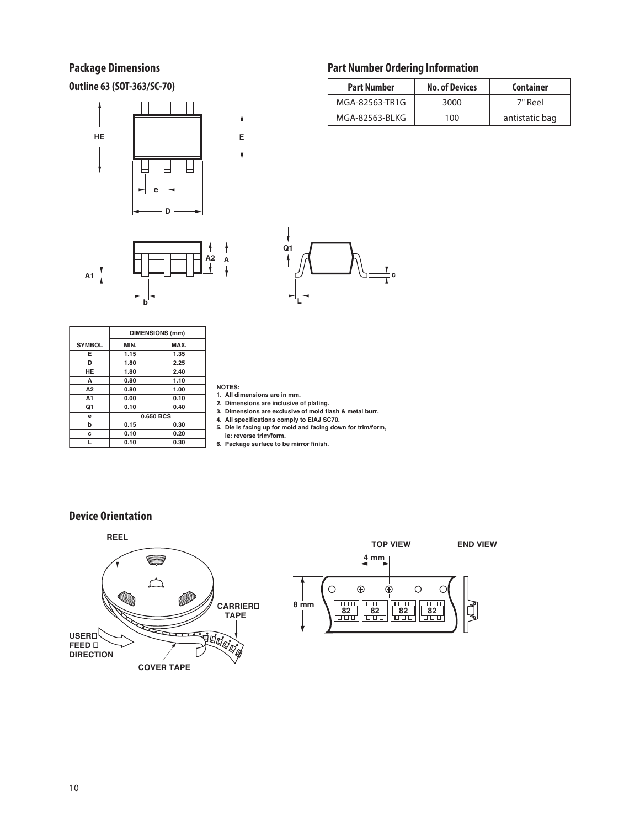# **Package Dimensions**

**Outline 63 (SOT-363/SC-70)**







|                | <b>DIMENSIONS (mm)</b> |      |  |  |
|----------------|------------------------|------|--|--|
| <b>SYMBOL</b>  | MIN.                   | MAX. |  |  |
| Е              | 1.15                   | 1.35 |  |  |
| D              | 1.80                   | 2.25 |  |  |
| HE             | 1.80                   | 2.40 |  |  |
| A              | 0.80                   | 1.10 |  |  |
| A <sub>2</sub> | 0.80                   | 1.00 |  |  |
| A1             | 0.00                   | 0.10 |  |  |
| Q1             | 0.10                   | 0.40 |  |  |
| e              | 0.650 BCS              |      |  |  |
| b              | 0.15                   | 0.30 |  |  |
| C              | 0.10                   | 0.20 |  |  |
| ı.             | 0.10                   | 0.30 |  |  |

**NOTES:**

- **1. All dimensions are in mm.**
- **2. Dimensions are inclusive of plating. 3. Dimensions are exclusive of mold flash & metal burr.**
- 
- **4. All specifications comply to EIAJ SC70. 5. Die is facing up for mold and facing down for trim/form,**
- **ie: reverse trim/form.**
- **6. Package surface to be mirror finish.**

# **Device Orientation**





# **Part Number Ordering Information**

| <b>Part Number</b> | <b>No. of Devices</b> | <b>Container</b> |
|--------------------|-----------------------|------------------|
| MGA-82563-TR1G     | 3000                  | 7" Reel          |
| MGA-82563-BLKG     | 100                   | antistatic bag   |